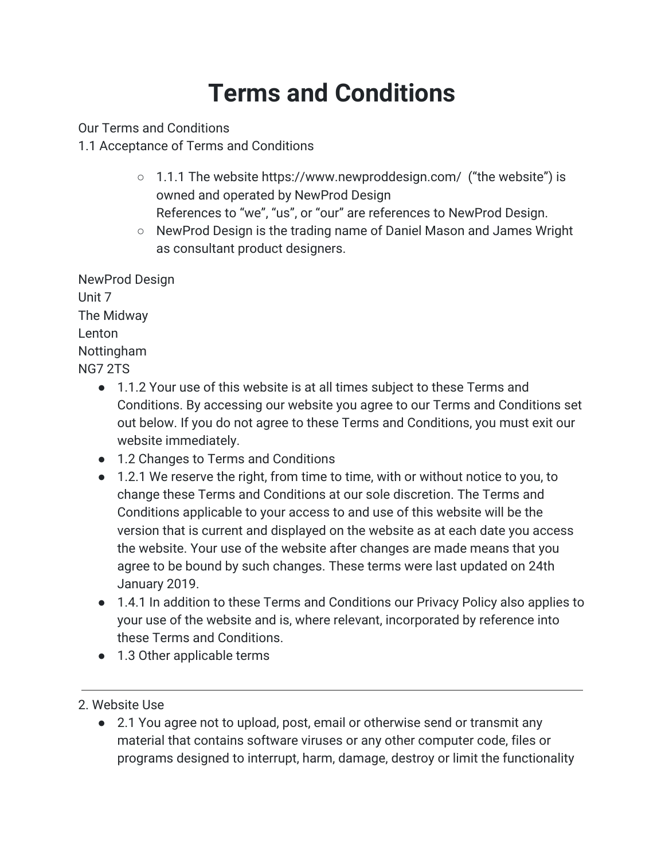# **Terms and Conditions**

Our Terms and Conditions

1.1 Acceptance of Terms and Conditions

- 1.1.1 The website https://www.newproddesign.com/ ("the website") is owned and operated by NewProd Design References to "we", "us", or "our" are references to NewProd Design.
- NewProd Design is the trading name of Daniel Mason and James Wright as consultant product designers.

NewProd Design Unit 7 The Midway Lenton Nottingham NG7 2TS

- 1.1.2 Your use of this website is at all times subject to these Terms and Conditions. By accessing our website you agree to our Terms and Conditions set out below. If you do not agree to these Terms and Conditions, you must exit our website immediately.
- 1.2 Changes to Terms and Conditions
- 1.2.1 We reserve the right, from time to time, with or without notice to you, to change these Terms and Conditions at our sole discretion. The Terms and Conditions applicable to your access to and use of this website will be the version that is current and displayed on the website as at each date you access the website. Your use of the website after changes are made means that you agree to be bound by such changes. These terms were last updated on 24th January 2019.
- 1.4.1 In addition to these Terms and Conditions our Privacy Policy also applies to your use of the website and is, where relevant, incorporated by reference into these Terms and Conditions.
- 1.3 Other applicable terms
- 2. Website Use
	- 2.1 You agree not to upload, post, email or otherwise send or transmit any material that contains software viruses or any other computer code, files or programs designed to interrupt, harm, damage, destroy or limit the functionality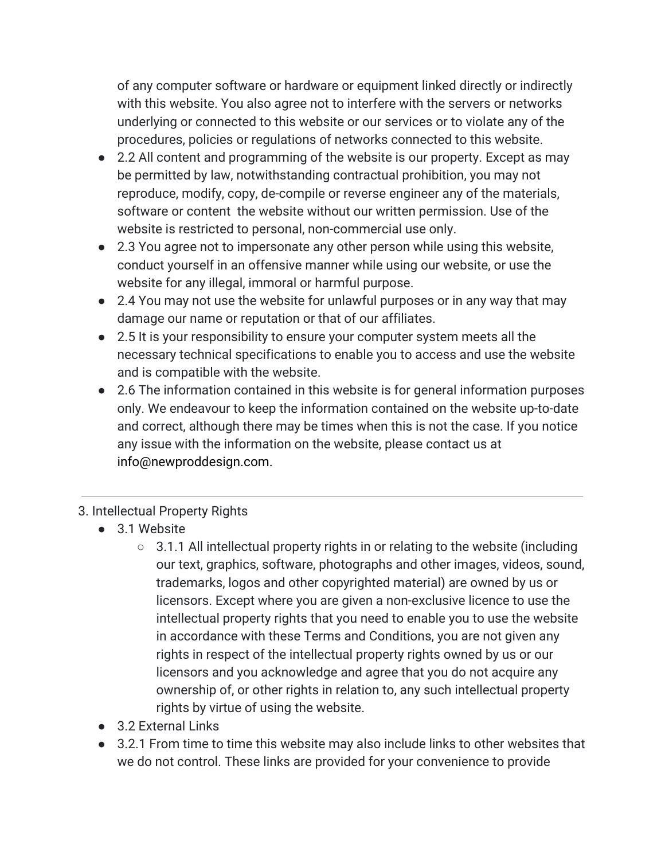of any computer software or hardware or equipment linked directly or indirectly with this website. You also agree not to interfere with the servers or networks underlying or connected to this website or our services or to violate any of the procedures, policies or regulations of networks connected to this website.

- 2.2 All content and programming of the website is our property. Except as may be permitted by law, notwithstanding contractual prohibition, you may not reproduce, modify, copy, de-compile or reverse engineer any of the materials, software or content the website without our written permission. Use of the website is restricted to personal, non-commercial use only.
- 2.3 You agree not to impersonate any other person while using this website, conduct yourself in an offensive manner while using our website, or use the website for any illegal, immoral or harmful purpose.
- 2.4 You may not use the website for unlawful purposes or in any way that may damage our name or reputation or that of our affiliates.
- 2.5 It is your responsibility to ensure your computer system meets all the necessary technical specifications to enable you to access and use the website and is compatible with the website.
- 2.6 The information contained in this website is for general information purposes only. We endeavour to keep the information contained on the website up-to-date and correct, although there may be times when this is not the case. If you notice any issue with the information on the website, please contact us at info@newproddesign.com.

# 3. Intellectual Property Rights

- 3.1 Website
	- $\circ$  3.1.1 All intellectual property rights in or relating to the website (including our text, graphics, software, photographs and other images, videos, sound, trademarks, logos and other copyrighted material) are owned by us or licensors. Except where you are given a non-exclusive licence to use the intellectual property rights that you need to enable you to use the website in accordance with these Terms and Conditions, you are not given any rights in respect of the intellectual property rights owned by us or our licensors and you acknowledge and agree that you do not acquire any ownership of, or other rights in relation to, any such intellectual property rights by virtue of using the website.
- 3.2 External Links
- 3.2.1 From time to time this website may also include links to other websites that we do not control. These links are provided for your convenience to provide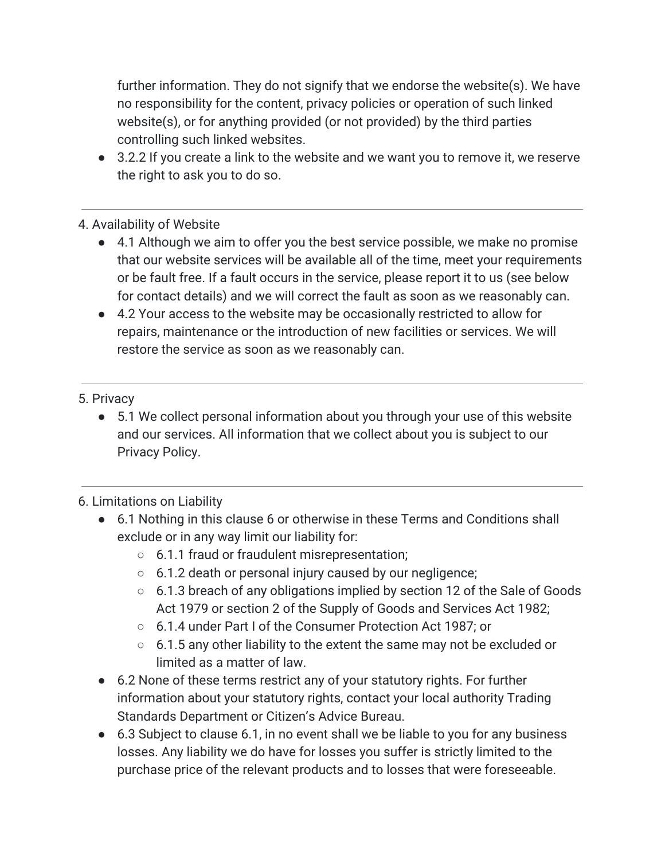further information. They do not signify that we endorse the website(s). We have no responsibility for the content, privacy policies or operation of such linked website(s), or for anything provided (or not provided) by the third parties controlling such linked websites.

● 3.2.2 If you create a link to the website and we want you to remove it, we reserve the right to ask you to do so.

#### 4. Availability of Website

- 4.1 Although we aim to offer you the best service possible, we make no promise that our website services will be available all of the time, meet your requirements or be fault free. If a fault occurs in the service, please report it to us (see below for contact details) and we will correct the fault as soon as we reasonably can.
- 4.2 Your access to the website may be occasionally restricted to allow for repairs, maintenance or the introduction of new facilities or services. We will restore the service as soon as we reasonably can.

#### 5. Privacy

● 5.1 We collect personal information about you through your use of this website and our services. All information that we collect about you is subject to our Privacy Policy.

#### 6. Limitations on Liability

- 6.1 Nothing in this clause 6 or otherwise in these Terms and Conditions shall exclude or in any way limit our liability for:
	- 6.1.1 fraud or fraudulent misrepresentation;
	- 6.1.2 death or personal injury caused by our negligence;
	- 6.1.3 breach of any obligations implied by section 12 of the Sale of Goods Act 1979 or section 2 of the Supply of Goods and Services Act 1982;
	- 6.1.4 under Part I of the Consumer Protection Act 1987; or
	- 6.1.5 any other liability to the extent the same may not be excluded or limited as a matter of law.
- 6.2 None of these terms restrict any of your statutory rights. For further information about your statutory rights, contact your local authority Trading Standards Department or Citizen's Advice Bureau.
- 6.3 Subject to clause 6.1, in no event shall we be liable to you for any business losses. Any liability we do have for losses you suffer is strictly limited to the purchase price of the relevant products and to losses that were foreseeable.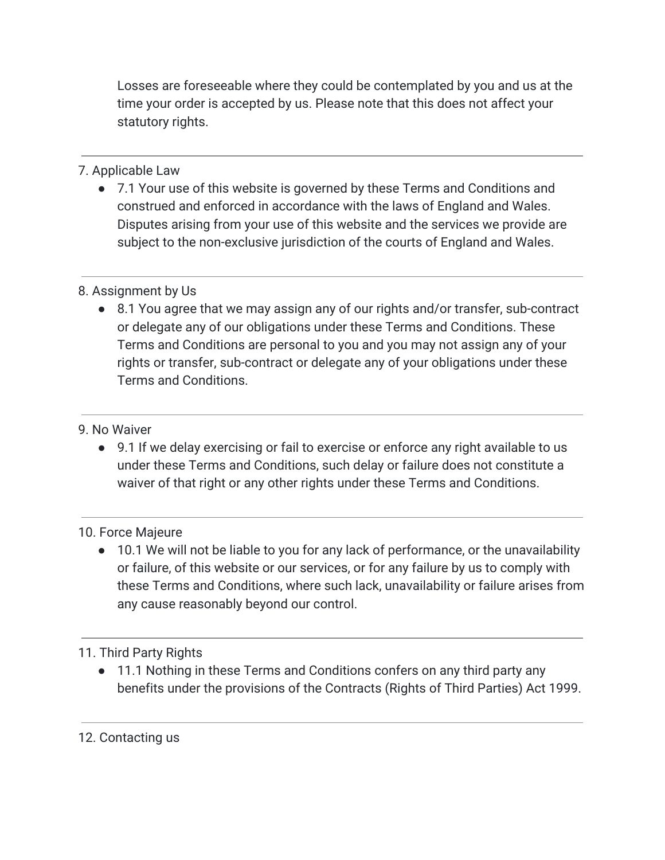Losses are foreseeable where they could be contemplated by you and us at the time your order is accepted by us. Please note that this does not affect your statutory rights.

# 7. Applicable Law

● 7.1 Your use of this website is governed by these Terms and Conditions and construed and enforced in accordance with the laws of England and Wales. Disputes arising from your use of this website and the services we provide are subject to the non-exclusive jurisdiction of the courts of England and Wales.

# 8. Assignment by Us

● 8.1 You agree that we may assign any of our rights and/or transfer, sub-contract or delegate any of our obligations under these Terms and Conditions. These Terms and Conditions are personal to you and you may not assign any of your rights or transfer, sub-contract or delegate any of your obligations under these Terms and Conditions.

### 9. No Waiver

● 9.1 If we delay exercising or fail to exercise or enforce any right available to us under these Terms and Conditions, such delay or failure does not constitute a waiver of that right or any other rights under these Terms and Conditions.

# 10. Force Majeure

● 10.1 We will not be liable to you for any lack of performance, or the unavailability or failure, of this website or our services, or for any failure by us to comply with these Terms and Conditions, where such lack, unavailability or failure arises from any cause reasonably beyond our control.

# 11. Third Party Rights

● 11.1 Nothing in these Terms and Conditions confers on any third party any benefits under the provisions of the Contracts (Rights of Third Parties) Act 1999.

# 12. Contacting us